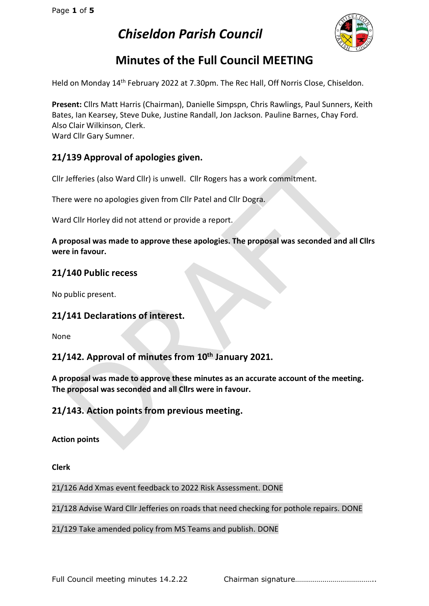

# **Minutes of the Full Council MEETING**

Held on Monday 14<sup>th</sup> February 2022 at 7.30pm. The Rec Hall, Off Norris Close, Chiseldon.

**Present:** Cllrs Matt Harris (Chairman), Danielle Simpspn, Chris Rawlings, Paul Sunners, Keith Bates, Ian Kearsey, Steve Duke, Justine Randall, Jon Jackson. Pauline Barnes, Chay Ford. Also Clair Wilkinson, Clerk. Ward Cllr Gary Sumner.

## **21/139 Approval of apologies given.**

Cllr Jefferies (also Ward Cllr) is unwell. Cllr Rogers has a work commitment.

There were no apologies given from Cllr Patel and Cllr Dogra.

Ward Cllr Horley did not attend or provide a report.

**A proposal was made to approve these apologies. The proposal was seconded and all Cllrs were in favour.**

## **21/140 Public recess**

No public present.

## **21/141 Declarations of interest.**

None

## **21/142. Approval of minutes from 10th January 2021.**

**A proposal was made to approve these minutes as an accurate account of the meeting. The proposal was seconded and all Cllrs were in favour.**

## **21/143. Action points from previous meeting.**

**Action points**

**Clerk**

21/126 Add Xmas event feedback to 2022 Risk Assessment. DONE

21/128 Advise Ward Cllr Jefferies on roads that need checking for pothole repairs. DONE

#### 21/129 Take amended policy from MS Teams and publish. DONE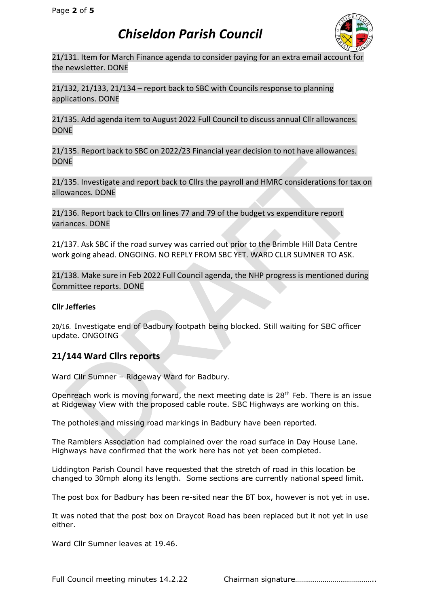

21/131. Item for March Finance agenda to consider paying for an extra email account for the newsletter. DONE

21/132, 21/133, 21/134 – report back to SBC with Councils response to planning applications. DONE

21/135. Add agenda item to August 2022 Full Council to discuss annual Cllr allowances. DONE

21/135. Report back to SBC on 2022/23 Financial year decision to not have allowances. DONE

21/135. Investigate and report back to Cllrs the payroll and HMRC considerations for tax on allowances. DONE

21/136. Report back to Cllrs on lines 77 and 79 of the budget vs expenditure report variances. DONE

21/137. Ask SBC if the road survey was carried out prior to the Brimble Hill Data Centre work going ahead. ONGOING. NO REPLY FROM SBC YET. WARD CLLR SUMNER TO ASK.

21/138. Make sure in Feb 2022 Full Council agenda, the NHP progress is mentioned during Committee reports. DONE

#### **Cllr Jefferies**

20/16. Investigate end of Badbury footpath being blocked. Still waiting for SBC officer update. ONGOING

## **21/144 Ward Cllrs reports**

Ward Cllr Sumner – Ridgeway Ward for Badbury.

Openreach work is moving forward, the next meeting date is 28<sup>th</sup> Feb. There is an issue at Ridgeway View with the proposed cable route. SBC Highways are working on this.

The potholes and missing road markings in Badbury have been reported.

The Ramblers Association had complained over the road surface in Day House Lane. Highways have confirmed that the work here has not yet been completed.

Liddington Parish Council have requested that the stretch of road in this location be changed to 30mph along its length. Some sections are currently national speed limit.

The post box for Badbury has been re-sited near the BT box, however is not yet in use.

It was noted that the post box on Draycot Road has been replaced but it not yet in use either.

Ward Cllr Sumner leaves at 19.46.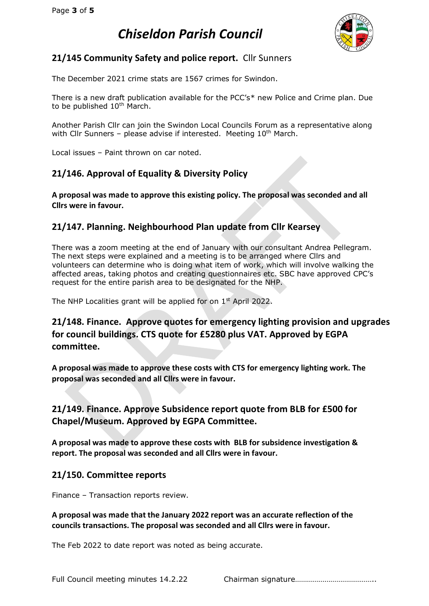

# **21/145 Community Safety and police report.** Cllr Sunners

The December 2021 crime stats are 1567 crimes for Swindon.

There is a new draft publication available for the PCC's\* new Police and Crime plan. Due to be published 10<sup>th</sup> March.

Another Parish Cllr can join the Swindon Local Councils Forum as a representative along with Cllr Sunners – please advise if interested. Meeting  $10<sup>th</sup>$  March.

Local issues – Paint thrown on car noted.

# **21/146. Approval of Equality & Diversity Policy**

**A proposal was made to approve this existing policy. The proposal was seconded and all Cllrs were in favour.**

## **21/147. Planning. Neighbourhood Plan update from Cllr Kearsey**

There was a zoom meeting at the end of January with our consultant Andrea Pellegram. The next steps were explained and a meeting is to be arranged where Cllrs and volunteers can determine who is doing what item of work, which will involve walking the affected areas, taking photos and creating questionnaires etc. SBC have approved CPC's request for the entire parish area to be designated for the NHP.

The NHP Localities grant will be applied for on  $1<sup>st</sup>$  April 2022.

# **21/148. Finance. Approve quotes for emergency lighting provision and upgrades for council buildings. CTS quote for £5280 plus VAT. Approved by EGPA committee.**

**A proposal was made to approve these costs with CTS for emergency lighting work. The proposal was seconded and all Cllrs were in favour.**

## **21/149. Finance. Approve Subsidence report quote from BLB for £500 for Chapel/Museum. Approved by EGPA Committee.**

**A proposal was made to approve these costs with BLB for subsidence investigation & report. The proposal was seconded and all Cllrs were in favour.**

## **21/150. Committee reports**

Finance – Transaction reports review.

**A proposal was made that the January 2022 report was an accurate reflection of the councils transactions. The proposal was seconded and all Cllrs were in favour.**

The Feb 2022 to date report was noted as being accurate.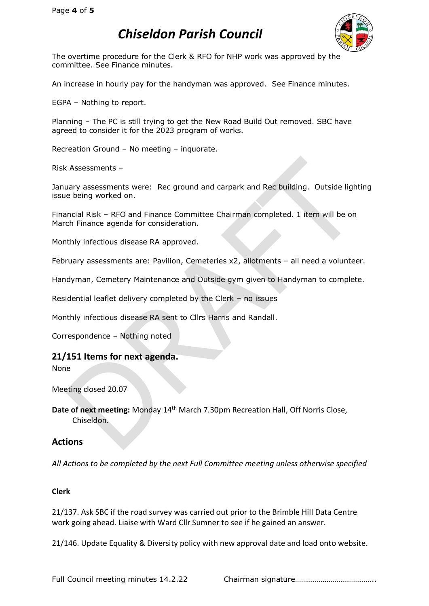

The overtime procedure for the Clerk & RFO for NHP work was approved by the committee. See Finance minutes.

An increase in hourly pay for the handyman was approved. See Finance minutes.

EGPA – Nothing to report.

Planning – The PC is still trying to get the New Road Build Out removed. SBC have agreed to consider it for the 2023 program of works.

Recreation Ground – No meeting – inquorate.

Risk Assessments –

January assessments were: Rec ground and carpark and Rec building. Outside lighting issue being worked on.

Financial Risk – RFO and Finance Committee Chairman completed. 1 item will be on March Finance agenda for consideration.

Monthly infectious disease RA approved.

February assessments are: Pavilion, Cemeteries x2, allotments – all need a volunteer.

Handyman, Cemetery Maintenance and Outside gym given to Handyman to complete.

Residential leaflet delivery completed by the Clerk – no issues

Monthly infectious disease RA sent to Cllrs Harris and Randall.

Correspondence – Nothing noted

#### **21/151 Items for next agenda.**

None

Meeting closed 20.07

Date of next meeting: Monday 14<sup>th</sup> March 7.30pm Recreation Hall, Off Norris Close, Chiseldon.

#### **Actions**

*All Actions to be completed by the next Full Committee meeting unless otherwise specified*

#### **Clerk**

21/137. Ask SBC if the road survey was carried out prior to the Brimble Hill Data Centre work going ahead. Liaise with Ward Cllr Sumner to see if he gained an answer.

21/146. Update Equality & Diversity policy with new approval date and load onto website.

Full Council meeting minutes 14.2.22 Chairman signature…………………………………………………………………